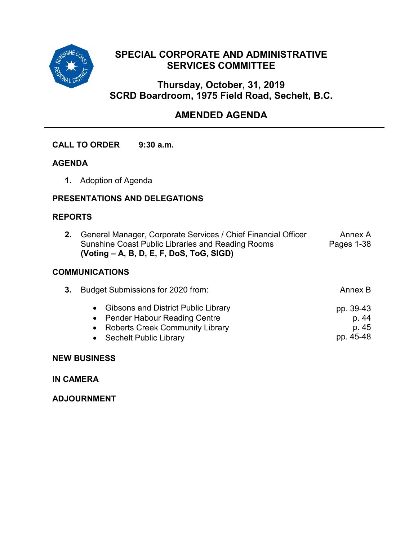

## **SPECIAL CORPORATE AND ADMINISTRATIVE SERVICES COMMITTEE**

## **Thursday, October, 31, 2019 SCRD Boardroom, 1975 Field Road, Sechelt, B.C.**

## **AMENDED AGENDA**

#### **CALL TO ORDER 9:30 a.m.**

#### **AGENDA**

**1.** Adoption of Agenda

### **PRESENTATIONS AND DELEGATIONS**

#### **REPORTS**

**2.** General Manager, Corporate Services / Chief Financial Officer Sunshine Coast Public Libraries and Reading Rooms **(Voting – A, B, D, E, F, DoS, ToG, SIGD)** Annex A Pages 1-38

#### **COMMUNICATIONS**

| • Gibsons and District Public Library<br>• Pender Habour Reading Centre<br>• Roberts Creek Community Library<br>• Sechelt Public Library | 3. Budget Submissions for 2020 from: | Annex B                                  |
|------------------------------------------------------------------------------------------------------------------------------------------|--------------------------------------|------------------------------------------|
|                                                                                                                                          |                                      | pp. 39-43<br>p. 44<br>p. 45<br>pp. 45-48 |

#### **NEW BUSINESS**

**IN CAMERA**

**ADJOURNMENT**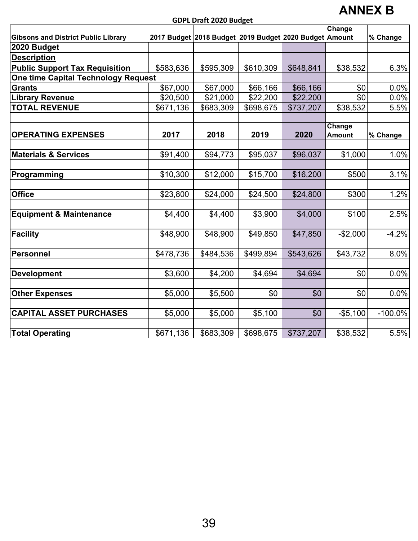**GDPL Draft 2020 Budget**

# **ANNEX B**

|                                            |           | υυς ι υπαιτ 2020 υπαδετ                                |           |           |                         |            |
|--------------------------------------------|-----------|--------------------------------------------------------|-----------|-----------|-------------------------|------------|
|                                            |           |                                                        |           |           | Change                  |            |
| <b>Gibsons and District Public Library</b> |           | 2017 Budget 2018 Budget 2019 Budget 2020 Budget Amount |           |           |                         | % Change   |
| 2020 Budget                                |           |                                                        |           |           |                         |            |
| <b>Description</b>                         |           |                                                        |           |           |                         |            |
| <b>Public Support Tax Requisition</b>      | \$583,636 | \$595,309                                              | \$610,309 | \$648,841 | \$38,532                | 6.3%       |
| <b>One time Capital Technology Request</b> |           |                                                        |           |           |                         |            |
| <b>Grants</b>                              | \$67,000  | \$67,000                                               | \$66,166  | \$66,166  | \$0                     | 0.0%       |
| <b>Library Revenue</b>                     | \$20,500  | \$21,000                                               | \$22,200  | \$22,200  | \$0                     | 0.0%       |
| <b>TOTAL REVENUE</b>                       | \$671,136 | \$683,309                                              | \$698,675 | \$737,207 | \$38,532                | 5.5%       |
| <b>OPERATING EXPENSES</b>                  | 2017      | 2018                                                   | 2019      | 2020      | Change<br><b>Amount</b> | % Change   |
|                                            |           |                                                        |           |           |                         |            |
| <b>Materials &amp; Services</b>            | \$91,400  | \$94,773                                               | \$95,037  | \$96,037  | \$1,000                 | 1.0%       |
| Programming                                | \$10,300  | \$12,000                                               | \$15,700  | \$16,200  | \$500                   | 3.1%       |
| <b>Office</b>                              | \$23,800  | \$24,000                                               | \$24,500  | \$24,800  | \$300                   | 1.2%       |
| <b>Equipment &amp; Maintenance</b>         | \$4,400   | \$4,400                                                | \$3,900   | \$4,000   | \$100                   | 2.5%       |
| <b>Facility</b>                            | \$48,900  | \$48,900                                               | \$49,850  | \$47,850  | $-$2,000$               | $-4.2%$    |
| <b>Personnel</b>                           | \$478,736 | \$484,536                                              | \$499,894 | \$543,626 | \$43,732                | 8.0%       |
| <b>Development</b>                         | \$3,600   | \$4,200                                                | \$4,694   | \$4,694   | \$0                     | 0.0%       |
| <b>Other Expenses</b>                      | \$5,000   | \$5,500                                                | \$0       | \$0       | \$0                     | 0.0%       |
| <b>CAPITAL ASSET PURCHASES</b>             | \$5,000   | \$5,000                                                | \$5,100   | \$0       | $-$5,100$               | $-100.0\%$ |
| <b>Total Operating</b>                     | \$671,136 | \$683,309                                              | \$698,675 | \$737,207 | \$38,532                | 5.5%       |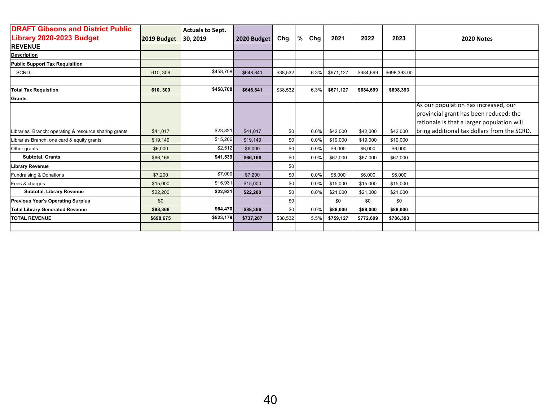| <b>DRAFT Gibsons and District Public</b>              |             | <b>Actuals to Sept.</b> |             |          |          |           |           |              |                                                                                                                              |
|-------------------------------------------------------|-------------|-------------------------|-------------|----------|----------|-----------|-----------|--------------|------------------------------------------------------------------------------------------------------------------------------|
| <b>Library 2020-2023 Budget</b>                       | 2019 Budget | 30, 2019                | 2020 Budget | Chg.     | %<br>Chg | 2021      | 2022      | 2023         | <b>2020 Notes</b>                                                                                                            |
| <b>REVENUE</b>                                        |             |                         |             |          |          |           |           |              |                                                                                                                              |
| <b>Description</b>                                    |             |                         |             |          |          |           |           |              |                                                                                                                              |
| <b>Public Support Tax Requisition</b>                 |             |                         |             |          |          |           |           |              |                                                                                                                              |
| SCRD-                                                 | 610, 309    | \$458,708               | \$648,841   | \$38,532 | 6.3%     | \$671,127 | \$684,699 | \$698,393.00 |                                                                                                                              |
|                                                       |             |                         |             |          |          |           |           |              |                                                                                                                              |
| <b>Total Tax Requistion</b>                           | 610, 309    | \$458,708               | \$648.841   | \$38,532 | 6.3%     | \$671,127 | \$684,699 | \$698,393    |                                                                                                                              |
| <b>Grants</b>                                         |             |                         |             |          |          |           |           |              |                                                                                                                              |
|                                                       |             |                         |             |          |          |           |           |              | As our population has increased, our<br>provincial grant has been reduced: the<br>rationale is that a larger population will |
| Libraries Branch: operating & resource sharing grants | \$41,017    | \$23,821                | \$41.017    | \$0      | 0.0%     | \$42,000  | \$42,000  | \$42,000     | bring additional tax dollars from the SCRD.                                                                                  |
| Libraries Branch: one card & equity grants            | \$19,149    | \$15,206                | \$19,149    | \$0      | 0.0%     | \$19,000  | \$19,000  | \$19,000     |                                                                                                                              |
| Other grants                                          | \$6,000     | \$2,512                 | \$6,000     | \$0      | 0.0%     | \$6,000   | \$6,000   | \$6,000      |                                                                                                                              |
| Subtotal, Grants                                      | \$66,166    | \$41,539                | \$66,166    | \$0      | 0.0%     | \$67,000  | \$67,000  | \$67,000     |                                                                                                                              |
| <b>Library Revenue</b>                                |             |                         |             | \$0      |          |           |           |              |                                                                                                                              |
| Fundraising & Donations                               | \$7,200     | \$7,000                 | \$7,200     | \$0      | 0.0%     | \$6,000   | \$6,000   | \$6,000      |                                                                                                                              |
| Fees & charges                                        | \$15,000    | \$15,931                | \$15,000    | \$0      | 0.0%     | \$15,000  | \$15,000  | \$15,000     |                                                                                                                              |
| Subtotal, Library Revenue                             | \$22,200    | \$22,931                | \$22,200    | \$0      | 0.0%     | \$21,000  | \$21,000  | \$21,000     |                                                                                                                              |
| <b>Previous Year's Operating Surplus</b>              | \$0         |                         |             | \$0      |          | \$0       | \$0       | \$0          |                                                                                                                              |
| <b>Total Library Generated Revenue</b>                | \$88,366    | \$64,470                | \$88,366    | \$0      | 0.0%     | \$88,000  | \$88,000  | \$88,000     |                                                                                                                              |
| <b>TOTAL REVENUE</b>                                  | \$698,675   | \$523,178               | \$737,207   | \$38,532 | 5.5%     | \$759,127 | \$772,699 | \$786,393    |                                                                                                                              |
|                                                       |             |                         |             |          |          |           |           |              |                                                                                                                              |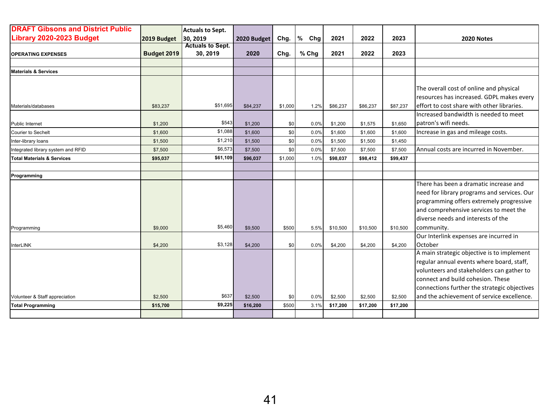| <b>DRAFT Gibsons and District Public</b> |             | <b>Actuals to Sept.</b> |             |         |          |          |          |          |                                              |
|------------------------------------------|-------------|-------------------------|-------------|---------|----------|----------|----------|----------|----------------------------------------------|
| <b>Library 2020-2023 Budget</b>          | 2019 Budget | 30, 2019                | 2020 Budget | Chg.    | %<br>Chg | 2021     | 2022     | 2023     | 2020 Notes                                   |
|                                          |             | <b>Actuals to Sept.</b> |             |         |          |          |          |          |                                              |
| <b>OPERATING EXPENSES</b>                | Budget 2019 | 30, 2019                | 2020        | Chg.    | % Chg    | 2021     | 2022     | 2023     |                                              |
|                                          |             |                         |             |         |          |          |          |          |                                              |
| <b>Materials &amp; Services</b>          |             |                         |             |         |          |          |          |          |                                              |
|                                          |             |                         |             |         |          |          |          |          |                                              |
|                                          |             |                         |             |         |          |          |          |          | The overall cost of online and physical      |
|                                          |             |                         |             |         |          |          |          |          | resources has increased. GDPL makes every    |
| Materials/databases                      | \$83,237    | \$51,695                | \$84,237    | \$1,000 | 1.2%     | \$86,237 | \$86,237 | \$87,237 | effort to cost share with other libraries.   |
|                                          |             |                         |             |         |          |          |          |          | Increased bandwidth is needed to meet        |
| <b>Public Internet</b>                   | \$1,200     | \$543                   | \$1,200     | \$0     | 0.0%     | \$1,200  | \$1,575  | \$1,650  | patron's wifi needs.                         |
| <b>Courier to Sechelt</b>                | \$1,600     | \$1,088                 | \$1,600     | \$0     | 0.0%     | \$1,600  | \$1,600  | \$1,600  | Increase in gas and mileage costs.           |
| Inter-library loans                      | \$1,500     | \$1,210                 | \$1,500     | \$0     | 0.0%     | \$1,500  | \$1,500  | \$1,450  |                                              |
| Integrated library system and RFID       | \$7,500     | \$6,573                 | \$7,500     | \$0     | 0.0%     | \$7,500  | \$7,500  | \$7,500  | Annual costs are incurred in November.       |
| <b>Total Materials &amp; Services</b>    | \$95,037    | \$61,109                | \$96,037    | \$1,000 | 1.0%     | \$98,037 | \$98,412 | \$99,437 |                                              |
|                                          |             |                         |             |         |          |          |          |          |                                              |
| Programming                              |             |                         |             |         |          |          |          |          |                                              |
|                                          |             |                         |             |         |          |          |          |          | There has been a dramatic increase and       |
|                                          |             |                         |             |         |          |          |          |          | need for library programs and services. Our  |
|                                          |             |                         |             |         |          |          |          |          | programming offers extremely progressive     |
|                                          |             |                         |             |         |          |          |          |          | and comprehensive services to meet the       |
|                                          |             |                         |             |         |          |          |          |          | diverse needs and interests of the           |
| Programming                              | \$9,000     | \$5,460                 | \$9,500     | \$500   | 5.5%     | \$10,500 | \$10,500 | \$10,500 | community.                                   |
|                                          |             |                         |             |         |          |          |          |          | Our Interlink expenses are incurred in       |
| InterLINK                                | \$4,200     | \$3,128                 | \$4,200     | \$0     | 0.0%     | \$4,200  | \$4,200  | \$4,200  | October                                      |
|                                          |             |                         |             |         |          |          |          |          | A main strategic objective is to implement   |
|                                          |             |                         |             |         |          |          |          |          | regular annual events where board, staff,    |
|                                          |             |                         |             |         |          |          |          |          | volunteers and stakeholders can gather to    |
|                                          |             |                         |             |         |          |          |          |          | connect and build cohesion. These            |
|                                          |             |                         |             |         |          |          |          |          | connections further the strategic objectives |
| Volunteer & Staff appreciation           | \$2,500     | \$637                   | \$2,500     | \$0     | 0.0%     | \$2,500  | \$2,500  | \$2,500  | and the achievement of service excellence.   |
| <b>Total Programming</b>                 | \$15,700    | \$9,225                 | \$16,200    | \$500   | 3.1%     | \$17,200 | \$17,200 | \$17,200 |                                              |
|                                          |             |                         |             |         |          |          |          |          |                                              |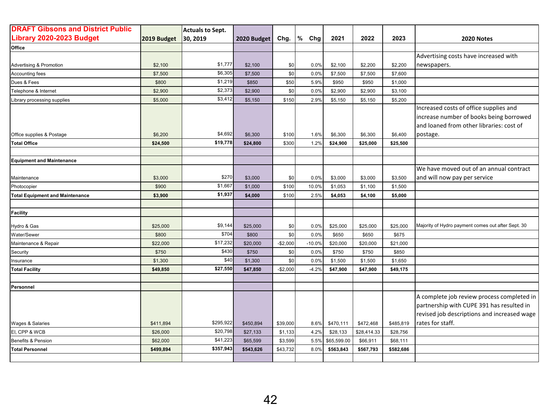| <b>DRAFT Gibsons and District Public</b> |             | <b>Actuals to Sept.</b> |             |           |          |             |             |           |                                                                                                                                                            |
|------------------------------------------|-------------|-------------------------|-------------|-----------|----------|-------------|-------------|-----------|------------------------------------------------------------------------------------------------------------------------------------------------------------|
| Library 2020-2023 Budget                 | 2019 Budget | 30, 2019                | 2020 Budget | Chg.      | %<br>Chg | 2021        | 2022        | 2023      | 2020 Notes                                                                                                                                                 |
| Office                                   |             |                         |             |           |          |             |             |           |                                                                                                                                                            |
|                                          |             |                         |             |           |          |             |             |           | Advertising costs have increased with                                                                                                                      |
| Advertising & Promotion                  | \$2,100     | \$1,777                 | \$2,100     | \$0       | 0.0%     | \$2,100     | \$2,200     | \$2,200   | newspapers.                                                                                                                                                |
| Accounting fees                          | \$7,500     | \$6,305                 | \$7,500     | \$0       | 0.0%     | \$7,500     | \$7,500     | \$7,600   |                                                                                                                                                            |
| Dues & Fees                              | \$800       | \$1,219                 | \$850       | \$50      | 5.9%     | \$950       | \$950       | \$1,000   |                                                                                                                                                            |
| Telephone & Internet                     | \$2,900     | \$2,373                 | \$2,900     | \$0       | 0.0%     | \$2,900     | \$2,900     | \$3,100   |                                                                                                                                                            |
| Library processing supplies              | \$5,000     | \$3,412                 | \$5,150     | \$150     | 2.9%     | \$5,150     | \$5,150     | \$5,200   |                                                                                                                                                            |
| Office supplies & Postage                | \$6,200     | \$4,692                 | \$6,300     | \$100     | 1.6%     | \$6,300     | \$6,300     | \$6,400   | Increased costs of office supplies and<br>increase number of books being borrowed<br>and loaned from other libraries: cost of<br>postage.                  |
| <b>Total Office</b>                      | \$24,500    | \$19,778                | \$24,800    | \$300     | 1.2%     | \$24,900    | \$25,000    | \$25,500  |                                                                                                                                                            |
|                                          |             |                         |             |           |          |             |             |           |                                                                                                                                                            |
| <b>Equipment and Maintenance</b>         |             |                         |             |           |          |             |             |           |                                                                                                                                                            |
| Maintenance                              | \$3,000     | \$270                   | \$3,000     | \$0       | 0.0%     | \$3,000     | \$3,000     | \$3,500   | We have moved out of an annual contract<br>and will now pay per service                                                                                    |
| Photocopier                              | \$900       | \$1,667                 | \$1,000     | \$100     | 10.0%    | \$1,053     | \$1,100     | \$1,500   |                                                                                                                                                            |
| <b>Total Equipment and Maintenance</b>   | \$3,900     | \$1,937                 | \$4,000     | \$100     | 2.5%     | \$4,053     | \$4,100     | \$5,000   |                                                                                                                                                            |
| <b>Facility</b>                          |             |                         |             |           |          |             |             |           |                                                                                                                                                            |
| Hydro & Gas                              | \$25,000    | \$9,144                 | \$25,000    | \$0       | 0.0%     | \$25,000    | \$25,000    | \$25,000  | Majority of Hydro payment comes out after Sept. 30                                                                                                         |
| Water/Sewer                              | \$800       | \$704                   | \$800       | \$0       | 0.0%     | \$650       | \$650       | \$675     |                                                                                                                                                            |
| Maintenance & Repair                     | \$22,000    | \$17,232                | \$20,000    | $-$2,000$ | $-10.0%$ | \$20,000    | \$20,000    | \$21,000  |                                                                                                                                                            |
| Security                                 | \$750       | \$430                   | \$750       | \$0       | 0.0%     | \$750       | \$750       | \$850     |                                                                                                                                                            |
| Insurance                                | \$1,300     | \$40                    | \$1,300     | \$0       | 0.0%     | \$1,500     | \$1,500     | \$1,650   |                                                                                                                                                            |
| <b>Total Facility</b>                    | \$49,850    | \$27,550                | \$47,850    | $-$2,000$ | $-4.2%$  | \$47,900    | \$47,900    | \$49,175  |                                                                                                                                                            |
|                                          |             |                         |             |           |          |             |             |           |                                                                                                                                                            |
| Personnel                                |             |                         |             |           |          |             |             |           |                                                                                                                                                            |
| Wages & Salaries                         | \$411,894   | \$295,922               | \$450,894   | \$39,000  | 8.6%     | \$470,111   | \$472,468   | \$485,819 | A complete job review process completed in<br>partnership with CUPE 391 has resulted in<br>revised job descriptions and increased wage<br>rates for staff. |
| EI, CPP & WCB                            | \$26,000    | \$20,798                | \$27,133    | \$1,133   | 4.2%     | \$28,133    | \$28,414.33 | \$28,756  |                                                                                                                                                            |
| Benefits & Pension                       | \$62,000    | \$41,223                | \$65,599    | \$3,599   | 5.5%     | \$65,599.00 | \$66,911    | \$68,111  |                                                                                                                                                            |
| <b>Total Personnel</b>                   | \$499,894   | \$357,943               | \$543,626   | \$43,732  | 8.0%     | \$563,843   | \$567,793   | \$582,686 |                                                                                                                                                            |
|                                          |             |                         |             |           |          |             |             |           |                                                                                                                                                            |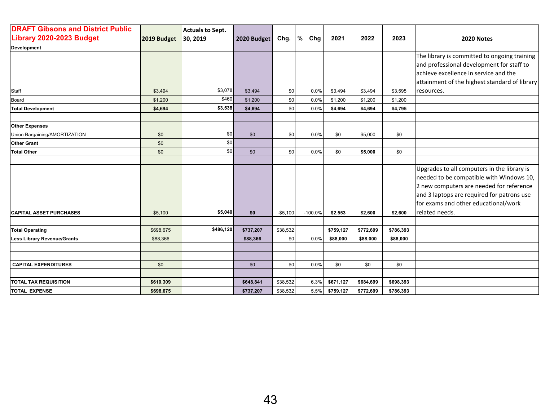| <b>DRAFT Gibsons and District Public</b> |             | <b>Actuals to Sept.</b> |             |           |           |           |           |           |                                               |
|------------------------------------------|-------------|-------------------------|-------------|-----------|-----------|-----------|-----------|-----------|-----------------------------------------------|
| Library 2020-2023 Budget                 | 2019 Budget | 30, 2019                | 2020 Budget | Chg.      | %<br>Chg  | 2021      | 2022      | 2023      | 2020 Notes                                    |
| <b>Development</b>                       |             |                         |             |           |           |           |           |           |                                               |
|                                          |             |                         |             |           |           |           |           |           | The library is committed to ongoing training  |
|                                          |             |                         |             |           |           |           |           |           | and professional development for staff to     |
|                                          |             |                         |             |           |           |           |           |           | achieve excellence in service and the         |
|                                          |             |                         |             |           |           |           |           |           | attainment of the highest standard of library |
| Staff                                    | \$3,494     | \$3,078                 | \$3,494     | \$0       | 0.0%      | \$3,494   | \$3,494   | \$3,595   | resources.                                    |
| Board                                    | \$1,200     | \$460                   | \$1.200     | \$0       | 0.0%      | \$1,200   | \$1,200   | \$1,200   |                                               |
| <b>Total Development</b>                 | \$4,694     | \$3,538                 | \$4,694     | \$0       | 0.0%      | \$4,694   | \$4,694   | \$4,795   |                                               |
|                                          |             |                         |             |           |           |           |           |           |                                               |
| <b>Other Expenses</b>                    |             |                         |             |           |           |           |           |           |                                               |
| Union Bargaining/AMORTIZATION            | \$0         | \$0                     | \$0         | \$0       | 0.0%      | \$0       | \$5,000   | \$0       |                                               |
| <b>Other Grant</b>                       | \$0         | \$0                     |             |           |           |           |           |           |                                               |
| <b>Total Other</b>                       | \$0         | \$0                     | \$0         | \$0       | 0.0%      | \$0       | \$5,000   | \$0       |                                               |
|                                          |             |                         |             |           |           |           |           |           |                                               |
|                                          |             |                         |             |           |           |           |           |           | Upgrades to all computers in the library is   |
|                                          |             |                         |             |           |           |           |           |           | needed to be compatible with Windows 10,      |
|                                          |             |                         |             |           |           |           |           |           | 2 new computers are needed for reference      |
|                                          |             |                         |             |           |           |           |           |           | and 3 laptops are required for patrons use    |
|                                          |             |                         |             |           |           |           |           |           | for exams and other educational/work          |
| <b>CAPITAL ASSET PURCHASES</b>           | \$5,100     | \$5,040                 | \$0         | $-$5,100$ | $-100.0%$ | \$2,553   | \$2,600   | \$2,600   | related needs.                                |
|                                          |             |                         |             |           |           |           |           |           |                                               |
| <b>Total Operating</b>                   | \$698,675   | \$486,120               | \$737,207   | \$38,532  |           | \$759,127 | \$772,699 | \$786,393 |                                               |
| <b>Less Library Revenue/Grants</b>       | \$88,366    |                         | \$88,366    | \$0       | 0.0%      | \$88,000  | \$88,000  | \$88,000  |                                               |
|                                          |             |                         |             |           |           |           |           |           |                                               |
|                                          |             |                         |             |           |           |           |           |           |                                               |
| <b>CAPITAL EXPENDITURES</b>              | \$0         |                         | \$0         | \$0       | 0.0%      | \$0       | \$0       | \$0       |                                               |
|                                          |             |                         |             |           |           |           |           |           |                                               |
| <b>TOTAL TAX REQUISITION</b>             | \$610,309   |                         | \$648,841   | \$38,532  | 6.3%      | \$671,127 | \$684,699 | \$698,393 |                                               |
| <b>TOTAL EXPENSE</b>                     | \$698,675   |                         | \$737,207   | \$38,532  | 5.5%      | \$759,127 | \$772,699 | \$786,393 |                                               |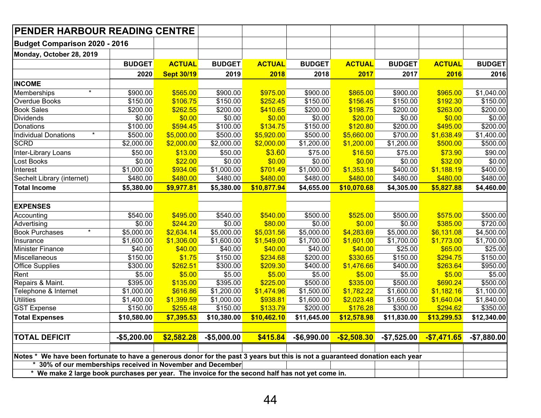| <b>PENDER HARBOUR READING CENTRE</b>                                                                                                                           |                                                                                                 |                   |               |                         |               |               |                        |               |               |  |  |  |  |
|----------------------------------------------------------------------------------------------------------------------------------------------------------------|-------------------------------------------------------------------------------------------------|-------------------|---------------|-------------------------|---------------|---------------|------------------------|---------------|---------------|--|--|--|--|
| <b>Budget Comparison 2020 - 2016</b>                                                                                                                           |                                                                                                 |                   |               |                         |               |               |                        |               |               |  |  |  |  |
| Monday, October 28, 2019                                                                                                                                       |                                                                                                 |                   |               |                         |               |               |                        |               |               |  |  |  |  |
|                                                                                                                                                                | <b>BUDGET</b>                                                                                   | <b>ACTUAL</b>     | <b>BUDGET</b> | <b>ACTUAL</b>           | <b>BUDGET</b> | <b>ACTUAL</b> | <b>BUDGET</b>          | <b>ACTUAL</b> | <b>BUDGET</b> |  |  |  |  |
|                                                                                                                                                                | 2020                                                                                            | <b>Sept 30/19</b> | 2019          | 2018                    | 2018          | 2017          | 2017                   | 2016          | 2016          |  |  |  |  |
| <b>INCOME</b>                                                                                                                                                  |                                                                                                 |                   |               |                         |               |               |                        |               |               |  |  |  |  |
| Memberships                                                                                                                                                    | \$900.00                                                                                        | \$565.00          | \$900.00      | \$975.00                | \$900.00      | \$865.00      | \$900.00               | \$965.00      | \$1,040.00    |  |  |  |  |
| Overdue Books                                                                                                                                                  | \$150.00                                                                                        | \$106.75          | \$150.00      | \$252.45                | \$150.00      | \$156.45      | \$150.00               | \$192.30      | \$150.00      |  |  |  |  |
| <b>Book Sales</b>                                                                                                                                              | \$200.00                                                                                        | \$262.55          | \$200.00      | \$410.65                | \$200.00      | \$198.75      | \$200.00               | \$263.00      | \$200.00      |  |  |  |  |
| Dividends                                                                                                                                                      | \$0.00                                                                                          | \$0.00            | \$0.00        | \$0.00                  | \$0.00        | \$20.00       | \$0.00                 | \$0.00        | \$0.00        |  |  |  |  |
| Donations                                                                                                                                                      | \$100.00                                                                                        | \$594.45          | \$100.00      | \$134.75                | \$150.00      | \$120.80      | \$200.00               | \$495.00      | \$200.00      |  |  |  |  |
| $\star$<br><b>Individual Donations</b>                                                                                                                         | \$500.00                                                                                        | \$5,000.00        | \$500.00      | \$5,920.00              | \$500.00      | \$5,660.00    | \$700.00               | \$1,638.49    | \$1,400.00    |  |  |  |  |
| <b>SCRD</b>                                                                                                                                                    | \$2,000.00                                                                                      | \$2,000.00        | \$2,000.00    | \$2,000.00              | \$1,200.00    | \$1,200.00    | \$1,200.00             | \$500.00      | \$500.00      |  |  |  |  |
| Inter-Library Loans                                                                                                                                            | \$50.00                                                                                         | \$13.00           | \$50.00       | \$3.60                  | \$75.00       | \$16.50       | \$75.00                | \$73.90       | \$90.00       |  |  |  |  |
| Lost Books                                                                                                                                                     | \$0.00                                                                                          | \$22.00           | \$0.00        | \$0.00                  | \$0.00        | \$0.00        | \$0.00                 | \$32.00       | \$0.00        |  |  |  |  |
| <b>Interest</b>                                                                                                                                                | \$1,000.00                                                                                      | \$934.06          | \$1,000.00    | \$701.49                | \$1,000.00    | \$1,353.18    | \$400.00               | \$1,188.19    | \$400.00      |  |  |  |  |
| Sechelt Library (internet)                                                                                                                                     | \$480.00                                                                                        | \$480.00          | \$480.00      | \$480.00                | \$480.00      | \$480.00      | \$480.00               | \$480.00      | \$480.00      |  |  |  |  |
| <b>Total Income</b>                                                                                                                                            | \$5,380.00                                                                                      | \$9,977.81        | \$5,380.00    | \$10,877.94             | \$4,655.00    | \$10,070.68   | \$4,305.00             | \$5,827.88    | \$4,460.00    |  |  |  |  |
|                                                                                                                                                                |                                                                                                 |                   |               |                         |               |               |                        |               |               |  |  |  |  |
| <b>EXPENSES</b>                                                                                                                                                |                                                                                                 |                   |               |                         |               |               |                        |               |               |  |  |  |  |
| Accounting                                                                                                                                                     | \$540.00                                                                                        | \$495.00          | \$540.00      | \$540.00                | \$500.00      | \$525.00      | \$500.00               | \$575.00      | \$500.00      |  |  |  |  |
| Advertising                                                                                                                                                    | \$0.00                                                                                          | \$244.20          | \$0.00        | \$80.00                 | \$0.00        | \$0.00        | \$0.00                 | \$385.00      | \$720.00      |  |  |  |  |
| $^{\star}$<br><b>Book Purchases</b>                                                                                                                            | \$5,000.00                                                                                      | \$2,634.14        | \$5,000.00    | \$5,031.56              | \$5,000.00    | \$4,283.69    | $\overline{$}5,000.00$ | \$6,131.08    | \$4,500.00    |  |  |  |  |
| Insurance                                                                                                                                                      | \$1,600.00                                                                                      | \$1,306.00        | \$1,600.00    | \$1,549.00              | \$1,700.00    | \$1,601.00    | \$1,700.00             | \$1,773.00    | \$1,700.00    |  |  |  |  |
| Minister Finance                                                                                                                                               | \$40.00                                                                                         | \$40.00           | \$40.00       | \$40.00                 | \$40.00       | \$40.00       | \$25.00                | \$65.00       | \$25.00       |  |  |  |  |
| Miscellaneous                                                                                                                                                  | \$150.00                                                                                        | \$1.75            | \$150.00      | \$234.68                | \$200.00      | \$330.65      | \$150.00               | \$294.75      | \$150.00      |  |  |  |  |
| <b>Office Supplies</b>                                                                                                                                         | \$300.00                                                                                        | \$262.51          | \$300.00      | \$209.30                | \$400.00      | \$1,476.66    | \$400.00               | \$263.64      | \$950.00      |  |  |  |  |
| Rent                                                                                                                                                           | \$5.00                                                                                          | \$5.00            | \$5.00        | \$5.00                  | \$5.00        | \$5.00        | \$5.00                 | \$5.00        | \$5.00        |  |  |  |  |
| Repairs & Maint.                                                                                                                                               | \$395.00                                                                                        | \$135.00          | \$395.00      | \$225.00                | \$500.00      | \$335.00      | \$500.00               | \$690.24      | \$500.00      |  |  |  |  |
| Telephone & Internet                                                                                                                                           | \$1,000.00                                                                                      | \$616.86          | \$1,200.00    | \$1,474.96              | \$1,500.00    | \$1,782.22    | \$1,600.00             | \$1,182.16    | \$1,100.00    |  |  |  |  |
| <b>Utilities</b>                                                                                                                                               | \$1,400.00                                                                                      | \$1,399.59        | \$1,000.00    | \$938.81                | \$1,600.00    | \$2,023.48    | \$1,650.00             | \$1,640.04    | \$1,840.00    |  |  |  |  |
| <b>GST</b> Expense                                                                                                                                             | \$150.00                                                                                        | \$255.48          | \$150.00      | \$133.79<br>\$10,462.10 | \$200.00      | \$176.28      | \$300.00               | \$294.62      | \$350.00      |  |  |  |  |
| <b>Total Expenses</b>                                                                                                                                          | \$10,580.00                                                                                     | \$7,395.53        | \$11,645.00   | \$12,578.98             | \$11,830.00   | \$13,299.53   | \$12,340.00            |               |               |  |  |  |  |
|                                                                                                                                                                |                                                                                                 |                   |               |                         |               |               |                        |               |               |  |  |  |  |
| <b>TOTAL DEFICIT</b><br>\$2,582.28<br>$-$5,000.00$<br>\$415.84<br>$-$6,990.00$<br>$-$2,508.30$<br>$-$7,525.00$<br>$-$7,471.65$<br>$-$7,880.00$<br>$-$5,200.00$ |                                                                                                 |                   |               |                         |               |               |                        |               |               |  |  |  |  |
|                                                                                                                                                                |                                                                                                 |                   |               |                         |               |               |                        |               |               |  |  |  |  |
| Notes * We have been fortunate to have a generous donor for the past 3 years but this is not a guaranteed donation each year                                   |                                                                                                 |                   |               |                         |               |               |                        |               |               |  |  |  |  |
| 30% of our memberships received in November and December                                                                                                       |                                                                                                 |                   |               |                         |               |               |                        |               |               |  |  |  |  |
|                                                                                                                                                                | * We make 2 large book purchases per year. The invoice for the second half has not yet come in. |                   |               |                         |               |               |                        |               |               |  |  |  |  |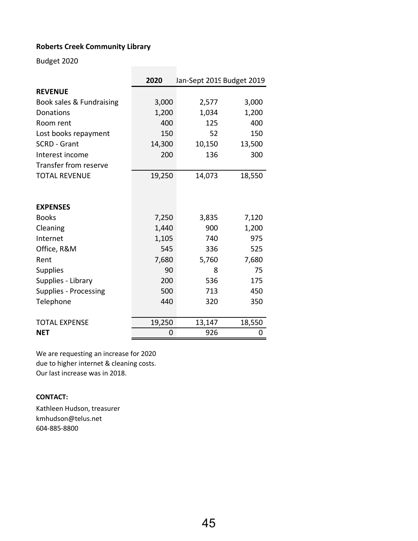### **Roberts Creek Community Library**

Budget 2020

|                                    | 2020        | Jan-Sept 2019 Budget 2019 |             |  |  |  |  |  |
|------------------------------------|-------------|---------------------------|-------------|--|--|--|--|--|
| <b>REVENUE</b>                     |             |                           |             |  |  |  |  |  |
| Book sales & Fundraising           | 3,000       | 2,577                     | 3,000       |  |  |  |  |  |
| Donations                          | 1,200       | 1,034                     | 1,200       |  |  |  |  |  |
| Room rent                          | 400         | 125                       | 400         |  |  |  |  |  |
| Lost books repayment               | 150         | 52                        | 150         |  |  |  |  |  |
| <b>SCRD - Grant</b>                | 14,300      | 10,150                    | 13,500      |  |  |  |  |  |
| Interest income                    | 200         | 136                       | 300         |  |  |  |  |  |
| <b>Transfer from reserve</b>       |             |                           |             |  |  |  |  |  |
| <b>TOTAL REVENUE</b>               | 19,250      | 14,073                    | 18,550      |  |  |  |  |  |
|                                    |             |                           |             |  |  |  |  |  |
|                                    |             |                           |             |  |  |  |  |  |
| <b>EXPENSES</b>                    |             |                           |             |  |  |  |  |  |
| <b>Books</b>                       | 7,250       | 3,835                     | 7,120       |  |  |  |  |  |
| Cleaning                           | 1,440       | 900                       | 1,200       |  |  |  |  |  |
| Internet                           | 1,105       | 740                       | 975         |  |  |  |  |  |
| Office, R&M                        | 545         | 336                       | 525         |  |  |  |  |  |
| Rent                               | 7,680       | 5,760                     | 7,680       |  |  |  |  |  |
| <b>Supplies</b>                    | 90          | 8                         | 75          |  |  |  |  |  |
| Supplies - Library                 | 200         | 536                       | 175         |  |  |  |  |  |
| <b>Supplies - Processing</b>       | 500         | 713                       | 450         |  |  |  |  |  |
| Telephone                          | 440         | 320                       | 350         |  |  |  |  |  |
|                                    |             |                           |             |  |  |  |  |  |
| <b>TOTAL EXPENSE</b><br><b>NET</b> | 19,250<br>0 | 13,147<br>926             | 18,550<br>0 |  |  |  |  |  |
|                                    |             |                           |             |  |  |  |  |  |

We are requesting an increase for 2020 due to higher internet & cleaning costs. Our last increase was in 2018.

#### **CONTACT:**

Kathleen Hudson, treasurer kmhudson@telus.net 604-885-8800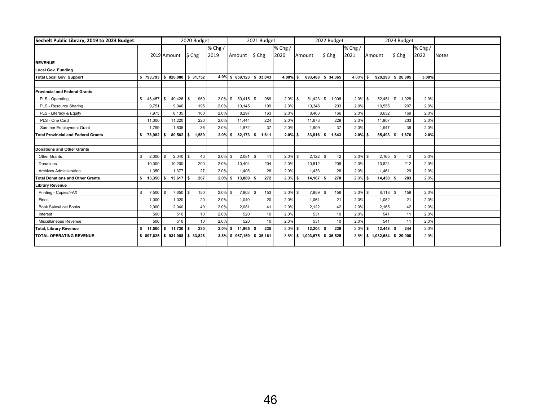| Sechelt Public Library, 2019 to 2023 Budget |                        |                   | 2020 Budget       |         |                              | 2021 Budget       |             |                             | 2022 Budget  |            |               | 2023 Budget |             |              |
|---------------------------------------------|------------------------|-------------------|-------------------|---------|------------------------------|-------------------|-------------|-----------------------------|--------------|------------|---------------|-------------|-------------|--------------|
|                                             |                        |                   |                   | % Chg / |                              |                   | $%$ Chg /   |                             |              | $%$ Chg /  |               |             | $%$ Chg $/$ |              |
|                                             |                        | 2019 Amount       | $\frac{1}{2}$ Chg | 2019    | Amount                       | $\frac{1}{2}$ Chg | 2020        | Amount                      | $$$ Chg      | 2021       | Amount        | \$ Chg      | 2022        | <b>Notes</b> |
| <b>REVENUE</b>                              |                        |                   |                   |         |                              |                   |             |                             |              |            |               |             |             |              |
| Local Gov. Funding                          |                        |                   |                   |         |                              |                   |             |                             |              |            |               |             |             |              |
| <b>Total Local Gov. Support</b>             | \$793,793              | \$826,080         | \$31,752          | 4.0%    | \$859,123                    | \$33,043          | $4.00\%$ \$ | 893,488                     | \$34,365     | 4.00%      | s.<br>920,293 | \$26,805    | 3.00%       |              |
|                                             |                        |                   |                   |         |                              |                   |             |                             |              |            |               |             |             |              |
| <b>Provincial and Federal Grants</b>        |                        |                   |                   |         |                              |                   |             |                             |              |            |               |             |             |              |
| PLS - Operating                             | $\mathbb{S}$<br>48,457 | $49,426$ \$<br>\$ | 969               | 2.0%    | $50,415$ \$<br>\$            | 989               | $2.0\%$ \$  | 51,423                      | 1,008<br>\$  | 2.0%       | 52.451<br>\$. | 1.028<br>\$ | 2.0%        |              |
| PLS - Resource Sharing                      | 9.751                  | 9.946             | 195               | 2.0%    | 10.145                       | 199               | 2.0%        | 10.348                      | 203          | 2.0%       | 10.555        | 207         | 2.0%        |              |
| PLS - Literacy & Equity                     | 7.975                  | 8.135             | 160               | 2.0%    | 8.297                        | 163               | 2.0%        | 8.463                       | 166          | 2.0%       | 8.632         | 169         | 2.0%        |              |
| PLS - One Card                              | 11,000                 | 11,220            | 220               | 2.0%    | 11,444                       | 224               | 2.0%        | 11.673                      | 229          | 2.0%       | 11,907        | 233         | 2.0%        |              |
| <b>Summer Employment Grant</b>              | 1,799                  | 1.835             | 36                | 2.0%    | 1.872                        | 37                | 2.0%        | 1.909                       | 37           | 2.0%       | 1.947         | 38          | 2.0%        |              |
| <b>Total Provincial and Federal Grants</b>  | s.<br>78,982           | $80.562$ \$       | 1.580             | 2.0%    | $82.173$ $\frac{1}{5}$<br>s. | 1.611             | $2.0\%$ \$  | 83.816                      | 1.643<br>l S | $2.0\%$ \$ | 85.493        | 1.676<br>\$ | 2.0%        |              |
|                                             |                        |                   |                   |         |                              |                   |             |                             |              |            |               |             |             |              |
| <b>Donations and Other Grants</b>           |                        |                   |                   |         |                              |                   |             |                             |              |            |               |             |             |              |
| <b>Other Grants</b>                         | \$<br>2,000            | \$<br>$2,040$ \$  | 40                | 2.0%    | $2,081$ \$<br><b>S</b>       | 41                | $2.0\%$ \$  | 2,122                       | 42<br>l \$   | $2.0\%$ \$ | $2,165$ \$    | 42          | 2.0%        |              |
| Donations                                   | 10,000                 | 10,200            | 200               | 2.0%    | 10,404                       | 204               | 2.0%        | 10,612                      | 208          | 2.0%       | 10,824        | 212         | 2.0%        |              |
| Archives Administration                     | 1.350                  | 1,377             | 27                | 2.0%    | 1,405                        | 28                | 2.0%        | 1,433                       | 28           | 2.0%       | 1.461         | 29          | 2.0%        |              |
| <b>Total Donations and Other Grants</b>     | 13,350<br>s.           | $13,617$ \$       | 267               | 2.0%    | 13,889<br>\$                 | 272<br>Ŝ.         | $2.0\%$ \$  | 14,167                      | 278<br>-S    | $2.0\%$ \$ | 14,450        | 283<br>-S   | 2.0%        |              |
| Library Revenue                             |                        |                   |                   |         |                              |                   |             |                             |              |            |               |             |             |              |
| Printing - Copies/FAX                       | 7,500<br>\$            | 7,650<br>\$       | 150               | 2.0%    | 7,803<br>$\mathbf{s}$        | 153<br>\$         | $2.0\%$ \$  | 7,959                       | 156<br>\$    | $2.0\%$ \$ | $8,118$ \$    | 159         | 2.0%        |              |
| Fines                                       | 1.000                  | 1.020             | 20                | 2.0%    | 1.040                        | 20                | 2.0%        | 1.061                       | 21           | 2.0%       | 1.082         | 21          | 2.0%        |              |
| <b>Book Sales/Lost Books</b>                | 2,000                  | 2,040             | 40                | 2.0%    | 2,081                        | 41                | 2.0%        | 2.122                       | 42           | 2.0%       | 2,165         | 42          | 2.0%        |              |
| Interest                                    | 500                    | 510               | 10                | 2.0%    | 520                          | 10                | 2.0%        | 531                         | 10           | 2.0%       | 541           | 11          | 2.0%        |              |
| Miscellaneous Revenue                       | 500                    | 510               | 10                | 2.0%    | 520                          | 10                | 2.0%        | 531                         | 10           | 2.0%       | 541           | 11          | 2.0%        |              |
| <b>Total, Library Revenue</b>               | 11,500<br>s.           | \$<br>$11,730$ \$ | 230               | 2.0%    | S.<br>11,965                 | 235<br>.5         | $2.0\%$ \$  | 12,204                      | 239<br>-S    | 2.0%       | 12,448<br>s.  | 244<br>s.   | 2.0%        |              |
| TOTAL OPERATING REVENUE                     | \$897.625              | \$931.988         | \$ 33,828         |         | 3.8% \$967,150 \$35,161      |                   |             | 3.8% \$ 1,003,675 \$ 36,525 |              | $3.8\%$ \$ | 1,032,684     | \$29,008    | 2.9%        |              |
|                                             |                        |                   |                   |         |                              |                   |             |                             |              |            |               |             |             |              |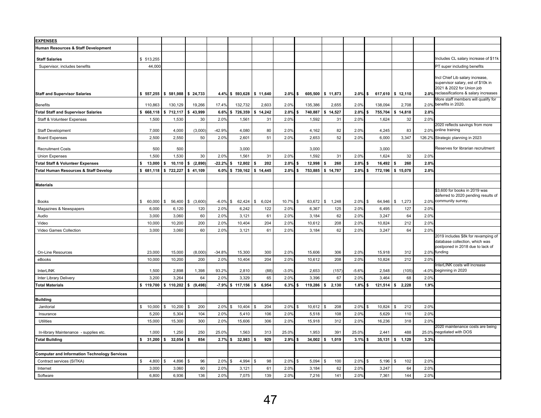| <b>EXPENSES</b>                                     |              |                       |               |          |                     |             |         |                     |              |                    |               |                     |         |                                                                                                           |
|-----------------------------------------------------|--------------|-----------------------|---------------|----------|---------------------|-------------|---------|---------------------|--------------|--------------------|---------------|---------------------|---------|-----------------------------------------------------------------------------------------------------------|
| Human Resources & Staff Development                 |              |                       |               |          |                     |             |         |                     |              |                    |               |                     |         |                                                                                                           |
| <b>Staff Salaries</b>                               | \$ 513,255   |                       |               |          |                     |             |         |                     |              |                    |               |                     |         | Includes CL salary increase of \$11k                                                                      |
| Supervisor, includes benefits                       | 44,000       |                       |               |          |                     |             |         |                     |              |                    |               |                     |         | PT super including benefits                                                                               |
|                                                     |              |                       |               |          |                     |             |         |                     |              |                    |               |                     |         |                                                                                                           |
|                                                     |              |                       |               |          |                     |             |         |                     |              |                    |               |                     |         | Incl Chief Lib salary increase,<br>supervisor salary, est of \$10k in<br>2021 & 2022 for Union job        |
| <b>Staff and Supervisor Salaries</b>                |              | $$557,255$ $$581,988$ | \$24,733      | 4.4%     | $$593,628$ \$11,640 |             | 2.0%    | <b>S</b><br>605,500 | \$11,873     | 2.0%               | \$            | $617,610$ \$ 12,110 | 2.0%    | reclassifications & salary increases                                                                      |
| <b>Benefits</b>                                     | 110,863      | 130,129               | 19,266        | 17.4%    | 132,732             | 2,603       | 2.0%    | 135.386             | 2,655        | 2.0%               | 138,094       | 2,708               | 2.0%    | More staff members will qualify for<br>benefits in 2020.                                                  |
| <b>Total Staff and Supervisor Salaries</b>          | \$668,118    | \$712,117             | \$43,999      | 6.6%     | 726,359             | \$14,242    | 2.0%    | 740.887             | 14,527<br>\$ | 2.0%               | 755,704<br>\$ | \$14,818            | 2.0%    |                                                                                                           |
| Staff & Volunteer Expenses                          | 1,500        | 1,530                 | 30            | 2.0%     | 1,561               | 31          | 2.0%    | 1,592               | 31           | 2.0%               | 1,624         | 32                  | 2.0%    |                                                                                                           |
| Staff Development                                   | 7,000        | 4,000                 | (3,000)       | $-42.9%$ | 4.080               | 80          | 2.0%    | 4,162               | 82           | 2.0%               | 4.245         | 83                  | 2.0%    | 2020 reflects savings from more<br>online training                                                        |
| <b>Board Expenses</b>                               | 2,500        | 2,550                 | 50            | 2.0%     | 2,601               | 51          | 2.0%    | 2,653               | 52           | 2.0%               | 6,000         | 3,347               |         | 126.2% Strategic planning in 2023                                                                         |
| <b>Recruitment Costs</b>                            | 500          | 500                   |               |          | 3,000               |             |         | 3,000               |              |                    | 3,000         |                     |         | Reserves for librarian recruitment                                                                        |
| Union Expenses                                      | 1,500        | 1,530                 | 30            | 2.0%     | 1,561               | 31          | 2.0%    | 1,592               | 31           | 2.0%               | 1,624         | 32                  | 2.0%    |                                                                                                           |
| <b>Total Staff &amp; Volunteer Expenses</b>         | \$<br>13,000 | 10,110<br>\$          | (2,890)       | $-22.2%$ | 12,802              | 202<br>\$   | 2.0%    | 12,998              | 260          | 2.0%               | 16,492        | 260<br>Ŝ.           | 2.0%    |                                                                                                           |
| Total Human Resources & Staff Develop               | \$681,118    | \$722,227             | \$41,109      | 6.0%     | 739,162<br>\$       | \$14.445    | 2.0%    | 753.885<br>5        | \$14,787     | 2.0%               | 772,196<br>s  | \$15,078            | 2.0%    |                                                                                                           |
|                                                     |              |                       |               |          |                     |             |         |                     |              |                    |               |                     |         |                                                                                                           |
| <b>Materials</b>                                    |              |                       |               |          |                     |             |         |                     |              |                    |               |                     |         |                                                                                                           |
| <b>Books</b>                                        | 60,000<br>s. | \$<br>56.400          | (3,600)<br>\$ | $-6.0%$  | 62.424<br>\$.       | \$<br>6.024 | 10.7%   | 63,672<br><b>S</b>  | \$<br>1,248  | 2.0%               | 64.946<br>\$  | 1,273<br>s.         | 2.0%    | \$3,600 for books in 2019 was<br>deferred to 2020 pending results of<br>community survey.                 |
| Magazines & Newspapers                              | 6,000        | 6,120                 | 120           | 2.0%     | 6.242               | 122         | 2.0%    | 6,367               | 125          | $2.0$ <sup>9</sup> | 6.495         | 127                 | 2.0%    |                                                                                                           |
| Audio                                               | 3,000        | 3,060                 | 60            | 2.0%     | 3,121               | 61          | 2.0%    | 3,184               | 62           | 2.0%               | 3,247         | 64                  | 2.0%    |                                                                                                           |
| Video                                               | 10,000       | 10,200                | 200           | 2.0%     | 10,404              | 204         | 2.0%    | 10,612              | 208          | 2.0%               | 10,824        | 212                 | 2.0%    |                                                                                                           |
| Video Games Collection                              | 3,000        | 3,060                 | 60            | 2.0%     | 3,121               | 61          | 2.0%    | 3,184               | 62           | 2.0%               | 3,247         | 64                  | 2.0%    |                                                                                                           |
|                                                     |              |                       |               |          |                     |             |         |                     |              |                    |               |                     |         | 2019 includes \$8k for revamping of<br>database collection, which was<br>postponed in 2018 due to lack of |
| On-Line Resources                                   | 23,000       | 15,000                | (8,000)       | $-34.8%$ | 15,300              | 300         | 2.0%    | 15,606              | 306          | 2.0%               | 15,918        | 312                 | 2.0%    | funding                                                                                                   |
| eBooks                                              | 10,000       | 10,200                | 200           | 2.0%     | 10,404              | 204         | 2.0%    | 10,612              | 208          | 2.0%               | 10,824        | 212                 | 2.0%    | interLINK costs will increase                                                                             |
| InterLINK                                           | 1,500        | 2,898                 | 1,398         | 93.2%    | 2,810               | (88)        | $-3.0%$ | 2,653               | (157)        | $-5.6%$            | 2,548         | (105)               | $-4.0%$ | beginning in 2020                                                                                         |
| Inter Library Delivery                              | 3,200        | 3,264                 | 64            | 2.0%     | 3,329               | 65          | 2.0%    | 3,396               | 67           | $2.0$ <sup>9</sup> | 3,464         | 68                  | 2.0%    |                                                                                                           |
| <b>Total Materials</b>                              | \$119,700    | \$110,202             | (9, 498)      | $-7.9%$  | 117,156<br>\$       | \$<br>6,954 | 6.3%    | 119,286             | 2,130<br>\$  | 1.8%               | 121,514<br>\$ | l s<br>2.228        | 1.9%    |                                                                                                           |
|                                                     |              |                       |               |          |                     |             |         |                     |              |                    |               |                     |         |                                                                                                           |
| <b>Building</b>                                     |              |                       |               |          |                     |             |         |                     |              |                    |               |                     |         |                                                                                                           |
| Janitorial                                          | \$<br>10,000 | 10,200<br>\$          | 200           | 2.0%     | 10,404              | 204<br>\$   | 2.0%    | 10,612              | 208          | 2.0%               | 10,824        | 212                 | 2.0%    |                                                                                                           |
| Insurance                                           | 5,200        | 5,304                 | 104           | 2.0%     | 5,410               | 106         | 2.0%    | 5,518               | 108          | $2.0$ <sup>9</sup> | 5,629         | 110                 | 2.0%    |                                                                                                           |
| Utilities                                           | 15,000       | 15,300                | 300           | 2.0%     | 15,606              | 306         | 2.0%    | 15,918              | 312          | $2.0$ <sup>9</sup> | 16,236        | 318                 | 2.0%    | 2020 maintenance costs are being                                                                          |
| In-library Maintenance - supplies etc.              | 1,000        | 1,250                 | 250           | 25.0%    | 1,563               | 313         | 25.0%   | 1,953               | 391          | 25.0%              | 2,441         | 488                 | 25.0%   | negotiated with DOS                                                                                       |
| <b>Total Building</b>                               | 31,200<br>\$ | 32,054<br>\$          | 854           | 2.7%     | 32,983<br>\$        | 929         | 2.9%    | 34,002<br>- 5       | 1,019<br>\$  | 3.1%               | 35,131<br>\$  | 1,129<br>-S         | 3.3%    |                                                                                                           |
|                                                     |              |                       |               |          |                     |             |         |                     |              |                    |               |                     |         |                                                                                                           |
| <b>Computer and Information Technology Services</b> |              |                       |               |          |                     |             |         |                     |              |                    |               |                     |         |                                                                                                           |
| Contract services (SITKA)                           | 4,800        | 4,896<br>\$           | 96            | 2.0%     | 4,994               | 98<br>\$    | 2.0%    | 5,094               | 100<br>£.    | 2.0%               | 5,196         | 102                 | 2.0%    |                                                                                                           |
| Internet                                            | 3,000        | 3,060                 | 60            | 2.0%     | 3,121               | 61          | 2.0%    | 3,184               | 62           | 2.0%               | 3,247         | 64                  | 2.0%    |                                                                                                           |
| Software                                            | 6,800        | 6,936                 | 136           | 2.0%     | 7,075               | 139         | 2.0%    | 7,216               | 141          | $2.0$ <sup>9</sup> | 7,361         | 144                 | 2.0%    |                                                                                                           |